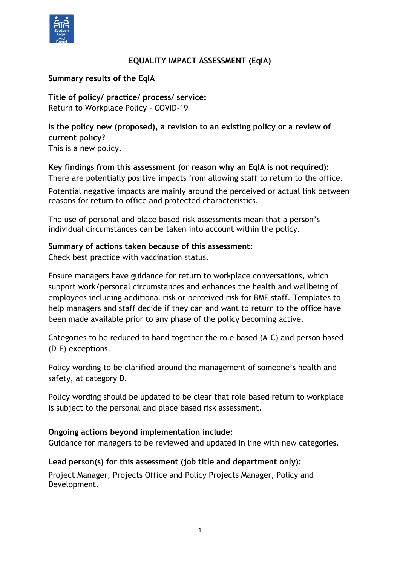

## **EQUALITY IMPACT ASSESSMENT (EqIA)**

## **Summary results of the EqIA**

**Title of policy/ practice/ process/ service:** Return to Workplace Policy – COVID-19

**Is the policy new (proposed), a revision to an existing policy or a review of current policy?**  This is a new policy.

#### **Key findings from this assessment (or reason why an EqIA is not required):**

There are potentially positive impacts from allowing staff to return to the office.

Potential negative impacts are mainly around the perceived or actual link between reasons for return to office and protected characteristics.

The use of personal and place based risk assessments mean that a person's individual circumstances can be taken into account within the policy.

## **Summary of actions taken because of this assessment:**

Check best practice with vaccination status.

Ensure managers have guidance for return to workplace conversations, which support work/personal circumstances and enhances the health and wellbeing of employees including additional risk or perceived risk for BME staff. Templates to help managers and staff decide if they can and want to return to the office have been made available prior to any phase of the policy becoming active.

Categories to be reduced to band together the role based (A-C) and person based (D-F) exceptions.

Policy wording to be clarified around the management of someone's health and safety, at category D.

Policy wording should be updated to be clear that role based return to workplace is subject to the personal and place based risk assessment.

#### **Ongoing actions beyond implementation include:**

Guidance for managers to be reviewed and updated in line with new categories.

#### **Lead person(s) for this assessment (job title and department only):**

Project Manager, Projects Office and Policy Projects Manager, Policy and Development.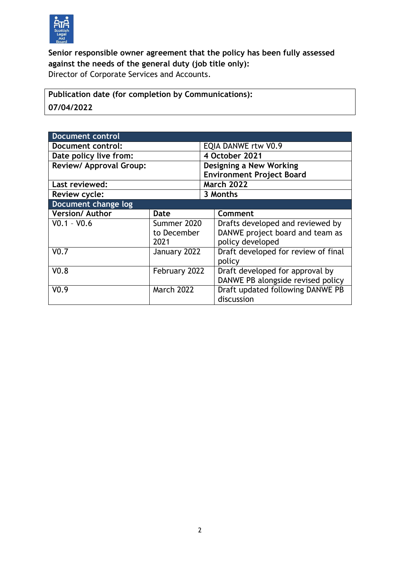

**Senior responsible owner agreement that the policy has been fully assessed against the needs of the general duty (job title only):** Director of Corporate Services and Accounts.

**Publication date (for completion by Communications): 07/04/2022**

| <b>Document control</b>        |                   |                                  |                                     |
|--------------------------------|-------------------|----------------------------------|-------------------------------------|
| Document control:              |                   | EQIA DANWE rtw V0.9              |                                     |
| Date policy live from:         |                   |                                  | 4 October 2021                      |
| <b>Review/ Approval Group:</b> |                   |                                  | Designing a New Working             |
|                                |                   | <b>Environment Project Board</b> |                                     |
| Last reviewed:                 |                   |                                  | <b>March 2022</b>                   |
| <b>Review cycle:</b>           |                   |                                  | 3 Months                            |
| Document change log            |                   |                                  |                                     |
| <b>Version/Author</b>          | Date              |                                  | Comment                             |
| $V0.1 - V0.6$                  | Summer 2020       |                                  | Drafts developed and reviewed by    |
|                                | to December       |                                  | DANWE project board and team as     |
|                                | 2021              |                                  | policy developed                    |
| V <sub>0.7</sub>               | January 2022      |                                  | Draft developed for review of final |
|                                |                   |                                  | policy                              |
| V <sub>0.8</sub>               | February 2022     |                                  | Draft developed for approval by     |
|                                |                   |                                  | DANWE PB alongside revised policy   |
| V <sub>0.9</sub>               | <b>March 2022</b> |                                  | Draft updated following DANWE PB    |
|                                |                   |                                  | discussion                          |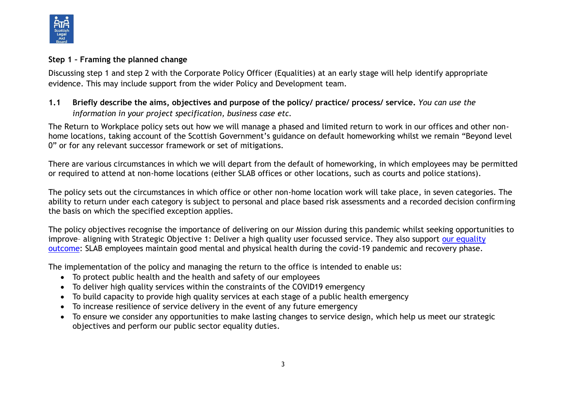

## **Step 1 – Framing the planned change**

Discussing step 1 and step 2 with the Corporate Policy Officer (Equalities) at an early stage will help identify appropriate evidence. This may include support from the wider Policy and Development team.

# **1.1 Briefly describe the aims, objectives and purpose of the policy/ practice/ process/ service.** *You can use the information in your project specification, business case etc.*

The Return to Workplace policy sets out how we will manage a phased and limited return to work in our offices and other nonhome locations, taking account of the Scottish Government's guidance on default homeworking whilst we remain "Beyond level 0" or for any relevant successor framework or set of mitigations.

There are various circumstances in which we will depart from the default of homeworking, in which employees may be permitted or required to attend at non-home locations (either SLAB offices or other locations, such as courts and police stations).

The policy sets out the circumstances in which office or other non-home location work will take place, in seven categories. The ability to return under each category is subject to personal and place based risk assessments and a recorded decision confirming the basis on which the specified exception applies.

The policy objectives recognise the importance of delivering on our Mission during this pandemic whilst seeking opportunities to improve– aligning with Strategic Objective 1: Deliver a high quality user focussed service. They also support [our equality](https://www.slab.org.uk/corporate-information/how-we-work/equalities-and-diversity/legal-aid-applicant-equality-data/)  [outcome:](https://www.slab.org.uk/corporate-information/how-we-work/equalities-and-diversity/legal-aid-applicant-equality-data/) SLAB employees maintain good mental and physical health during the covid-19 pandemic and recovery phase.

The implementation of the policy and managing the return to the office is intended to enable us:

- To protect public health and the health and safety of our employees
- To deliver high quality services within the constraints of the COVID19 emergency
- To build capacity to provide high quality services at each stage of a public health emergency
- To increase resilience of service delivery in the event of any future emergency
- To ensure we consider any opportunities to make lasting changes to service design, which help us meet our strategic objectives and perform our public sector equality duties.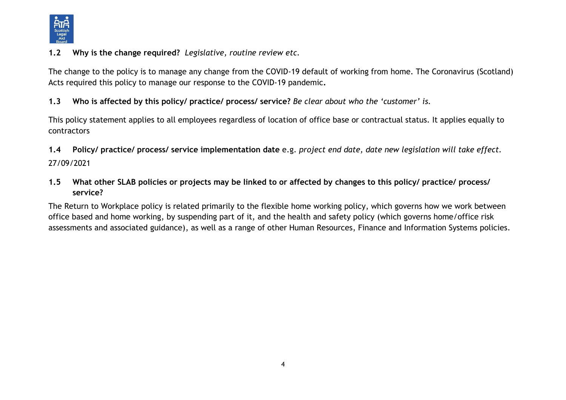

## **1.2 Why is the change required?** *Legislative, routine review etc.*

The change to the policy is to manage any change from the COVID-19 default of working from home. The Coronavirus (Scotland) Acts required this policy to manage our response to the COVID-19 pandemic**.**

## **1.3 Who is affected by this policy/ practice/ process/ service?** *Be clear about who the 'customer' is.*

This policy statement applies to all employees regardless of location of office base or contractual status. It applies equally to contractors

**1.4 Policy/ practice/ process/ service implementation date** e.g. *project end date, date new legislation will take effect.* 27/09/2021

**1.5 What other SLAB policies or projects may be linked to or affected by changes to this policy/ practice/ process/ service?** 

The Return to Workplace policy is related primarily to the flexible home working policy, which governs how we work between office based and home working, by suspending part of it, and the health and safety policy (which governs home/office risk assessments and associated guidance), as well as a range of other Human Resources, Finance and Information Systems policies.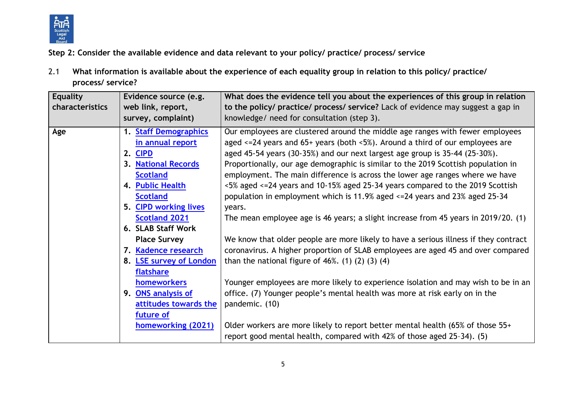

**Step 2: Consider the available evidence and data relevant to your policy/ practice/ process/ service**

2.1 **What information is available about the experience of each equality group in relation to this policy/ practice/ process/ service?** 

| <b>Equality</b><br>characteristics | Evidence source (e.g.<br>web link, report,<br>survey, complaint) | What does the evidence tell you about the experiences of this group in relation<br>to the policy/ practice/ process/ service? Lack of evidence may suggest a gap in<br>knowledge/ need for consultation (step 3). |
|------------------------------------|------------------------------------------------------------------|-------------------------------------------------------------------------------------------------------------------------------------------------------------------------------------------------------------------|
| Age                                | 1. Staff Demographics                                            | Our employees are clustered around the middle age ranges with fewer employees                                                                                                                                     |
|                                    | in annual report<br>2. CIPD                                      | aged $\le$ =24 years and 65+ years (both $\le$ 5%). Around a third of our employees are<br>aged 45-54 years (30-35%) and our next largest age group is 35-44 (25-30%).                                            |
|                                    | 3. National Records                                              | Proportionally, our age demographic is similar to the 2019 Scottish population in                                                                                                                                 |
|                                    | <b>Scotland</b>                                                  | employment. The main difference is across the lower age ranges where we have                                                                                                                                      |
|                                    | 4. Public Health                                                 | <5% aged <=24 years and 10-15% aged 25-34 years compared to the 2019 Scottish                                                                                                                                     |
|                                    | <b>Scotland</b>                                                  | population in employment which is 11.9% aged <=24 years and 23% aged 25-34                                                                                                                                        |
|                                    | 5. CIPD working lives                                            | years.                                                                                                                                                                                                            |
|                                    | <b>Scotland 2021</b>                                             | The mean employee age is 46 years; a slight increase from 45 years in 2019/20. (1)                                                                                                                                |
|                                    | 6. SLAB Staff Work                                               |                                                                                                                                                                                                                   |
|                                    | <b>Place Survey</b>                                              | We know that older people are more likely to have a serious illness if they contract                                                                                                                              |
|                                    | 7. Kadence research                                              | coronavirus. A higher proportion of SLAB employees are aged 45 and over compared                                                                                                                                  |
|                                    | 8. <b>LSE survey of London</b>                                   | than the national figure of $46\%$ . (1) (2) (3) (4)                                                                                                                                                              |
|                                    | flatshare                                                        |                                                                                                                                                                                                                   |
|                                    | homeworkers                                                      | Younger employees are more likely to experience isolation and may wish to be in an                                                                                                                                |
|                                    | 9. ONS analysis of                                               | office. (7) Younger people's mental health was more at risk early on in the                                                                                                                                       |
|                                    | attitudes towards the                                            | pandemic. (10)                                                                                                                                                                                                    |
|                                    | future of                                                        |                                                                                                                                                                                                                   |
|                                    | homeworking (2021)                                               | Older workers are more likely to report better mental health (65% of those 55+                                                                                                                                    |
|                                    |                                                                  | report good mental health, compared with 42% of those aged 25-34). (5)                                                                                                                                            |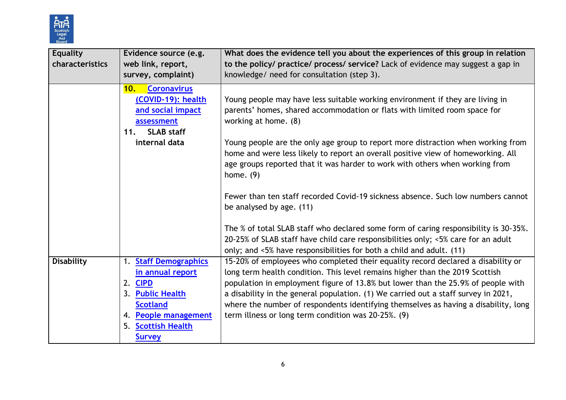

| <b>Equality</b><br>characteristics | Evidence source (e.g.<br>web link, report,<br>survey, complaint)                                                                                                     | What does the evidence tell you about the experiences of this group in relation<br>to the policy/ practice/ process/ service? Lack of evidence may suggest a gap in<br>knowledge/ need for consultation (step 3).                                                                                                                                                                                                                                                                                                                                                         |
|------------------------------------|----------------------------------------------------------------------------------------------------------------------------------------------------------------------|---------------------------------------------------------------------------------------------------------------------------------------------------------------------------------------------------------------------------------------------------------------------------------------------------------------------------------------------------------------------------------------------------------------------------------------------------------------------------------------------------------------------------------------------------------------------------|
|                                    | <b>Coronavirus</b><br>10.<br>(COVID-19): health<br>and social impact<br>assessment<br><b>SLAB staff</b><br>11.<br>internal data                                      | Young people may have less suitable working environment if they are living in<br>parents' homes, shared accommodation or flats with limited room space for<br>working at home. (8)<br>Young people are the only age group to report more distraction when working from<br>home and were less likely to report an overall positive view of homeworking. All<br>age groups reported that it was harder to work with others when working from<br>home. $(9)$<br>Fewer than ten staff recorded Covid-19 sickness absence. Such low numbers cannot<br>be analysed by age. (11) |
|                                    |                                                                                                                                                                      | The % of total SLAB staff who declared some form of caring responsibility is 30-35%.<br>20-25% of SLAB staff have child care responsibilities only; <5% care for an adult<br>only; and <5% have responsibilities for both a child and adult. (11)                                                                                                                                                                                                                                                                                                                         |
| <b>Disability</b>                  | 1. Staff Demographics<br>in annual report<br>2. CIPD<br>3. Public Health<br><b>Scotland</b><br>4. People management<br><b>Scottish Health</b><br>5.<br><b>Survey</b> | 15-20% of employees who completed their equality record declared a disability or<br>long term health condition. This level remains higher than the 2019 Scottish<br>population in employment figure of 13.8% but lower than the 25.9% of people with<br>a disability in the general population. (1) We carried out a staff survey in 2021,<br>where the number of respondents identifying themselves as having a disability, long<br>term illness or long term condition was 20-25%. (9)                                                                                  |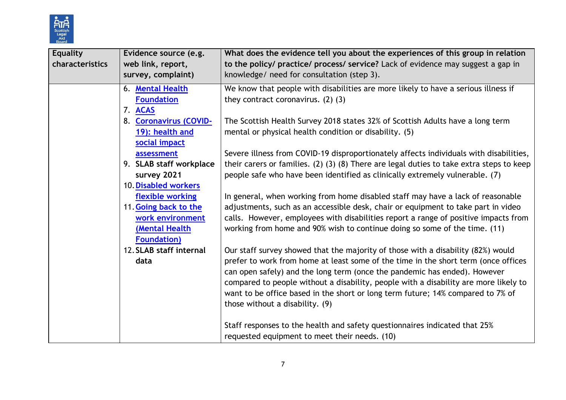

| <b>Equality</b><br>characteristics | Evidence source (e.g.<br>web link, report,<br>survey, complaint)                                                               | What does the evidence tell you about the experiences of this group in relation<br>to the policy/ practice/ process/ service? Lack of evidence may suggest a gap in<br>knowledge/ need for consultation (step 3).                                                                                                                                                                                                                                                 |
|------------------------------------|--------------------------------------------------------------------------------------------------------------------------------|-------------------------------------------------------------------------------------------------------------------------------------------------------------------------------------------------------------------------------------------------------------------------------------------------------------------------------------------------------------------------------------------------------------------------------------------------------------------|
|                                    | 6. Mental Health<br><b>Foundation</b><br>7. ACAS                                                                               | We know that people with disabilities are more likely to have a serious illness if<br>they contract coronavirus. $(2)$ $(3)$                                                                                                                                                                                                                                                                                                                                      |
|                                    | 8. Coronavirus (COVID-<br>19): health and<br>social impact                                                                     | The Scottish Health Survey 2018 states 32% of Scottish Adults have a long term<br>mental or physical health condition or disability. (5)                                                                                                                                                                                                                                                                                                                          |
|                                    | assessment<br>9. SLAB staff workplace<br>survey 2021                                                                           | Severe illness from COVID-19 disproportionately affects individuals with disabilities,<br>their carers or families. (2) (3) (8) There are legal duties to take extra steps to keep<br>people safe who have been identified as clinically extremely vulnerable. (7)                                                                                                                                                                                                |
|                                    | 10. Disabled workers<br>flexible working<br>11. Going back to the<br>work environment<br>(Mental Health<br><b>Foundation</b> ) | In general, when working from home disabled staff may have a lack of reasonable<br>adjustments, such as an accessible desk, chair or equipment to take part in video<br>calls. However, employees with disabilities report a range of positive impacts from<br>working from home and 90% wish to continue doing so some of the time. (11)                                                                                                                         |
|                                    | 12. SLAB staff internal<br>data                                                                                                | Our staff survey showed that the majority of those with a disability (82%) would<br>prefer to work from home at least some of the time in the short term (once offices<br>can open safely) and the long term (once the pandemic has ended). However<br>compared to people without a disability, people with a disability are more likely to<br>want to be office based in the short or long term future; 14% compared to 7% of<br>those without a disability. (9) |
|                                    |                                                                                                                                | Staff responses to the health and safety questionnaires indicated that 25%<br>requested equipment to meet their needs. (10)                                                                                                                                                                                                                                                                                                                                       |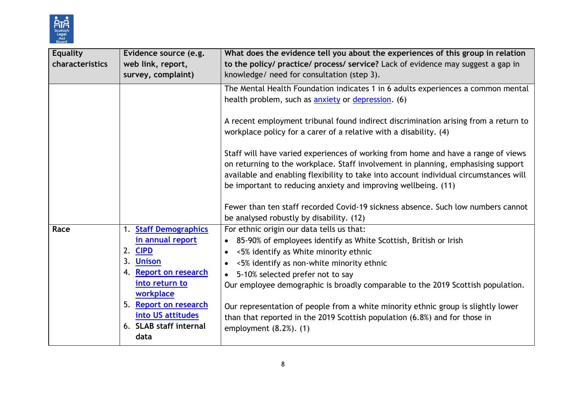

| <b>Equality</b><br>characteristics | Evidence source (e.g.<br>web link, report,<br>survey, complaint)                                                                                                                                                    | What does the evidence tell you about the experiences of this group in relation<br>to the policy/ practice/ process/ service? Lack of evidence may suggest a gap in<br>knowledge/ need for consultation (step 3).                                                                                                                                                                                                                                                                                                                                                                                                                                                                                                                                                              |
|------------------------------------|---------------------------------------------------------------------------------------------------------------------------------------------------------------------------------------------------------------------|--------------------------------------------------------------------------------------------------------------------------------------------------------------------------------------------------------------------------------------------------------------------------------------------------------------------------------------------------------------------------------------------------------------------------------------------------------------------------------------------------------------------------------------------------------------------------------------------------------------------------------------------------------------------------------------------------------------------------------------------------------------------------------|
|                                    |                                                                                                                                                                                                                     | The Mental Health Foundation indicates 1 in 6 adults experiences a common mental<br>health problem, such as <b>anxiety</b> or depression. (6)<br>A recent employment tribunal found indirect discrimination arising from a return to<br>workplace policy for a carer of a relative with a disability. (4)<br>Staff will have varied experiences of working from home and have a range of views<br>on returning to the workplace. Staff involvement in planning, emphasising support<br>available and enabling flexibility to take into account individual circumstances will<br>be important to reducing anxiety and improving wellbeing. (11)<br>Fewer than ten staff recorded Covid-19 sickness absence. Such low numbers cannot<br>be analysed robustly by disability. (12) |
| Race                               | 1. Staff Demographics<br>in annual report<br>2. CIPD<br>3. Unison<br><b>Report on research</b><br>4.<br>into return to<br>workplace<br>5. Report on research<br>into US attitudes<br>6. SLAB staff internal<br>data | For ethnic origin our data tells us that:<br>85-90% of employees identify as White Scottish, British or Irish<br>$\bullet$<br><5% identify as White minority ethnic<br>$\bullet$<br><5% identify as non-white minority ethnic<br>$\bullet$<br>5-10% selected prefer not to say<br>$\bullet$<br>Our employee demographic is broadly comparable to the 2019 Scottish population.<br>Our representation of people from a white minority ethnic group is slightly lower<br>than that reported in the 2019 Scottish population (6.8%) and for those in<br>employment $(8.2%)$ . $(1)$                                                                                                                                                                                               |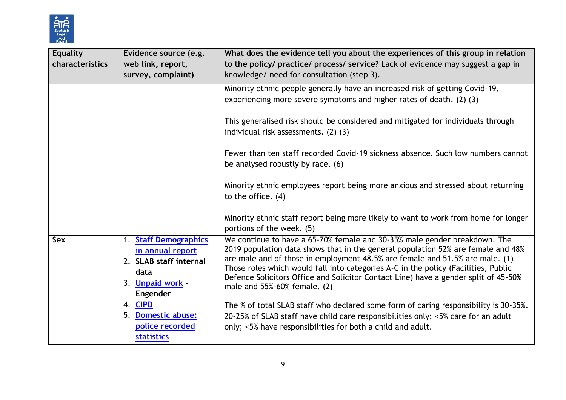

| <b>Equality</b><br>characteristics | Evidence source (e.g.<br>web link, report,<br>survey, complaint)                                                                                                                     | What does the evidence tell you about the experiences of this group in relation<br>to the policy/ practice/ process/ service? Lack of evidence may suggest a gap in<br>knowledge/ need for consultation (step 3).                                                                                                                                                                                                                                                                                                                                                                                                                                                                                      |
|------------------------------------|--------------------------------------------------------------------------------------------------------------------------------------------------------------------------------------|--------------------------------------------------------------------------------------------------------------------------------------------------------------------------------------------------------------------------------------------------------------------------------------------------------------------------------------------------------------------------------------------------------------------------------------------------------------------------------------------------------------------------------------------------------------------------------------------------------------------------------------------------------------------------------------------------------|
|                                    |                                                                                                                                                                                      | Minority ethnic people generally have an increased risk of getting Covid-19,<br>experiencing more severe symptoms and higher rates of death. (2) (3)<br>This generalised risk should be considered and mitigated for individuals through<br>individual risk assessments. (2) (3)<br>Fewer than ten staff recorded Covid-19 sickness absence. Such low numbers cannot<br>be analysed robustly by race. (6)<br>Minority ethnic employees report being more anxious and stressed about returning<br>to the office. (4)<br>Minority ethnic staff report being more likely to want to work from home for longer<br>portions of the week. (5)                                                                |
| Sex                                | 1. Staff Demographics<br>in annual report<br>2. SLAB staff internal<br>data<br>3. Unpaid work -<br>Engender<br>4. CIPD<br>5. Domestic abuse:<br>police recorded<br><b>statistics</b> | We continue to have a 65-70% female and 30-35% male gender breakdown. The<br>2019 population data shows that in the general population 52% are female and 48%<br>are male and of those in employment 48.5% are female and 51.5% are male. (1)<br>Those roles which would fall into categories A-C in the policy (Facilities, Public<br>Defence Solicitors Office and Solicitor Contact Line) have a gender split of 45-50%<br>male and 55%-60% female. (2)<br>The % of total SLAB staff who declared some form of caring responsibility is 30-35%.<br>20-25% of SLAB staff have child care responsibilities only; <5% care for an adult<br>only; <5% have responsibilities for both a child and adult. |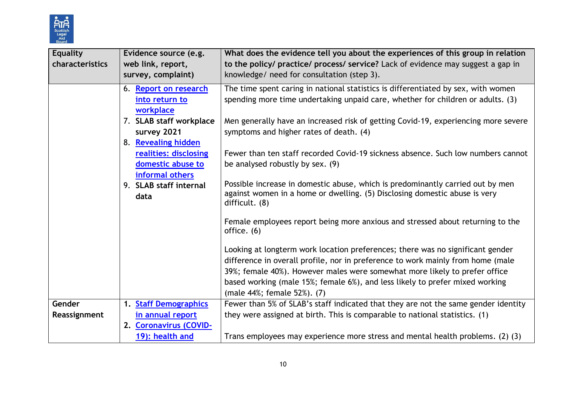

| <b>Equality</b><br>characteristics | Evidence source (e.g.<br>web link, report,<br>survey, complaint) | What does the evidence tell you about the experiences of this group in relation<br>to the policy/ practice/ process/ service? Lack of evidence may suggest a gap in<br>knowledge/ need for consultation (step 3).                                                                                                                                              |
|------------------------------------|------------------------------------------------------------------|----------------------------------------------------------------------------------------------------------------------------------------------------------------------------------------------------------------------------------------------------------------------------------------------------------------------------------------------------------------|
|                                    | 6. Report on research<br>into return to<br>workplace             | The time spent caring in national statistics is differentiated by sex, with women<br>spending more time undertaking unpaid care, whether for children or adults. (3)                                                                                                                                                                                           |
|                                    | 7. SLAB staff workplace<br>survey 2021<br>8. Revealing hidden    | Men generally have an increased risk of getting Covid-19, experiencing more severe<br>symptoms and higher rates of death. (4)                                                                                                                                                                                                                                  |
|                                    | realities: disclosing<br>domestic abuse to<br>informal others    | Fewer than ten staff recorded Covid-19 sickness absence. Such low numbers cannot<br>be analysed robustly by sex. (9)                                                                                                                                                                                                                                           |
|                                    | 9. SLAB staff internal<br>data                                   | Possible increase in domestic abuse, which is predominantly carried out by men<br>against women in a home or dwelling. (5) Disclosing domestic abuse is very<br>difficult. (8)                                                                                                                                                                                 |
|                                    |                                                                  | Female employees report being more anxious and stressed about returning to the<br>office. (6)                                                                                                                                                                                                                                                                  |
|                                    |                                                                  | Looking at longterm work location preferences; there was no significant gender<br>difference in overall profile, nor in preference to work mainly from home (male<br>39%; female 40%). However males were somewhat more likely to prefer office<br>based working (male 15%; female 6%), and less likely to prefer mixed working<br>(male 44%; female 52%). (7) |
| Gender                             | 1. Staff Demographics                                            | Fewer than 5% of SLAB's staff indicated that they are not the same gender identity                                                                                                                                                                                                                                                                             |
| Reassignment                       | in annual report                                                 | they were assigned at birth. This is comparable to national statistics. (1)                                                                                                                                                                                                                                                                                    |
|                                    | 2. Coronavirus (COVID-<br>19): health and                        | Trans employees may experience more stress and mental health problems. (2) (3)                                                                                                                                                                                                                                                                                 |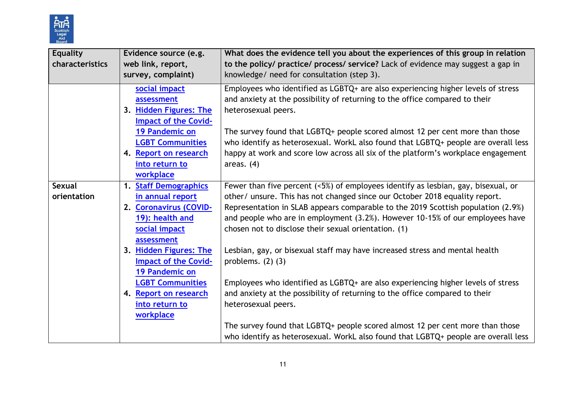

| <b>Equality</b><br>characteristics | Evidence source (e.g.<br>web link, report,<br>survey, complaint)                                                                                                                          | What does the evidence tell you about the experiences of this group in relation<br>to the policy/ practice/ process/ service? Lack of evidence may suggest a gap in<br>knowledge/ need for consultation (step 3).                                                                                                                                                                                                                                                  |
|------------------------------------|-------------------------------------------------------------------------------------------------------------------------------------------------------------------------------------------|--------------------------------------------------------------------------------------------------------------------------------------------------------------------------------------------------------------------------------------------------------------------------------------------------------------------------------------------------------------------------------------------------------------------------------------------------------------------|
|                                    | social impact<br>assessment<br>3. Hidden Figures: The<br><b>Impact of the Covid-</b><br>19 Pandemic on<br><b>LGBT Communities</b><br>4. Report on research<br>into return to<br>workplace | Employees who identified as LGBTQ+ are also experiencing higher levels of stress<br>and anxiety at the possibility of returning to the office compared to their<br>heterosexual peers.<br>The survey found that LGBTQ+ people scored almost 12 per cent more than those<br>who identify as heterosexual. WorkL also found that LGBTQ+ people are overall less<br>happy at work and score low across all six of the platform's workplace engagement<br>areas. $(4)$ |
| <b>Sexual</b><br>orientation       | <b>Staff Demographics</b><br>1.<br>in annual report<br>2. Coronavirus (COVID-<br>19): health and<br>social impact<br>assessment                                                           | Fewer than five percent (<5%) of employees identify as lesbian, gay, bisexual, or<br>other/ unsure. This has not changed since our October 2018 equality report.<br>Representation in SLAB appears comparable to the 2019 Scottish population (2.9%)<br>and people who are in employment (3.2%). However 10-15% of our employees have<br>chosen not to disclose their sexual orientation. (1)                                                                      |
|                                    | 3. Hidden Figures: The<br><b>Impact of the Covid-</b><br>19 Pandemic on<br><b>LGBT Communities</b>                                                                                        | Lesbian, gay, or bisexual staff may have increased stress and mental health<br>problems. $(2)$ $(3)$<br>Employees who identified as LGBTQ+ are also experiencing higher levels of stress                                                                                                                                                                                                                                                                           |
|                                    | 4. Report on research<br>into return to<br>workplace                                                                                                                                      | and anxiety at the possibility of returning to the office compared to their<br>heterosexual peers.<br>The survey found that LGBTQ+ people scored almost 12 per cent more than those<br>who identify as heterosexual. WorkL also found that LGBTQ+ people are overall less                                                                                                                                                                                          |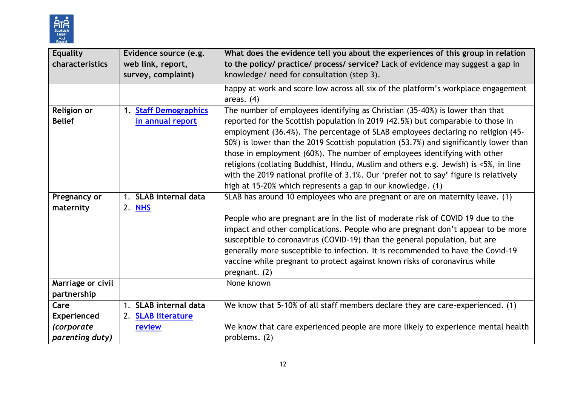

| Evidence source (e.g.<br>web link, report,<br>survey, complaint) | What does the evidence tell you about the experiences of this group in relation<br>to the policy/ practice/ process/ service? Lack of evidence may suggest a gap in<br>knowledge/ need for consultation (step 3).                                                                                                                                                                                                                                                                                                                                                                                                                                                      |
|------------------------------------------------------------------|------------------------------------------------------------------------------------------------------------------------------------------------------------------------------------------------------------------------------------------------------------------------------------------------------------------------------------------------------------------------------------------------------------------------------------------------------------------------------------------------------------------------------------------------------------------------------------------------------------------------------------------------------------------------|
|                                                                  | happy at work and score low across all six of the platform's workplace engagement<br>areas. $(4)$                                                                                                                                                                                                                                                                                                                                                                                                                                                                                                                                                                      |
| <b>Staff Demographics</b><br>$\mathbf{1}$ .<br>in annual report  | The number of employees identifying as Christian (35-40%) is lower than that<br>reported for the Scottish population in 2019 (42.5%) but comparable to those in<br>employment (36.4%). The percentage of SLAB employees declaring no religion (45-<br>50%) is lower than the 2019 Scottish population (53.7%) and significantly lower than<br>those in employment (60%). The number of employees identifying with other<br>religions (collating Buddhist, Hindu, Muslim and others e.g. Jewish) is <5%, in line<br>with the 2019 national profile of 3.1%. Our 'prefer not to say' figure is relatively<br>high at 15-20% which represents a gap in our knowledge. (1) |
| 1. SLAB internal data<br>2. NHS                                  | SLAB has around 10 employees who are pregnant or are on maternity leave. (1)<br>People who are pregnant are in the list of moderate risk of COVID 19 due to the<br>impact and other complications. People who are pregnant don't appear to be more<br>susceptible to coronavirus (COVID-19) than the general population, but are<br>generally more susceptible to infection. It is recommended to have the Covid-19<br>vaccine while pregnant to protect against known risks of coronavirus while<br>pregnant. (2)                                                                                                                                                     |
|                                                                  | None known                                                                                                                                                                                                                                                                                                                                                                                                                                                                                                                                                                                                                                                             |
| 1. SLAB internal data<br><b>SLAB literature</b><br>2.<br>review  | We know that 5-10% of all staff members declare they are care-experienced. (1)<br>We know that care experienced people are more likely to experience mental health<br>problems. (2)                                                                                                                                                                                                                                                                                                                                                                                                                                                                                    |
|                                                                  |                                                                                                                                                                                                                                                                                                                                                                                                                                                                                                                                                                                                                                                                        |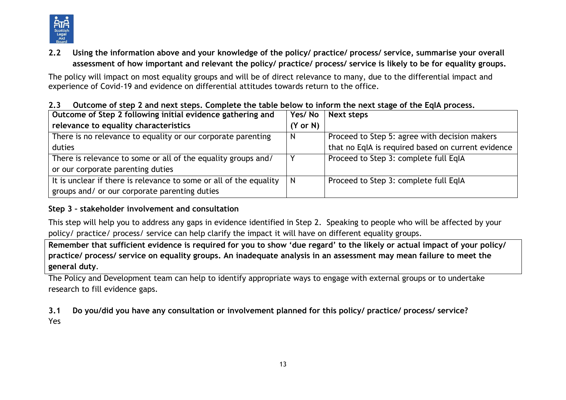

**2.2 Using the information above and your knowledge of the policy/ practice/ process/ service, summarise your overall assessment of how important and relevant the policy/ practice/ process/ service is likely to be for equality groups.**

The policy will impact on most equality groups and will be of direct relevance to many, due to the differential impact and experience of Covid-19 and evidence on differential attitudes towards return to the office.

| Outcome of Step 2 following initial evidence gathering and         | Yes/No              | Next steps                                         |
|--------------------------------------------------------------------|---------------------|----------------------------------------------------|
| relevance to equality characteristics                              | $(Y \text{ or } N)$ |                                                    |
| There is no relevance to equality or our corporate parenting       | N                   | Proceed to Step 5: agree with decision makers      |
| duties                                                             |                     | that no EqIA is required based on current evidence |
| There is relevance to some or all of the equality groups and/      |                     | Proceed to Step 3: complete full EqIA              |
| or our corporate parenting duties                                  |                     |                                                    |
| It is unclear if there is relevance to some or all of the equality | N                   | Proceed to Step 3: complete full EqIA              |
| groups and/ or our corporate parenting duties                      |                     |                                                    |

**2.3 Outcome of step 2 and next steps. Complete the table below to inform the next stage of the EqIA process.**

## **Step 3 – stakeholder involvement and consultation**

This step will help you to address any gaps in evidence identified in Step 2. Speaking to people who will be affected by your policy/ practice/ process/ service can help clarify the impact it will have on different equality groups.

**Remember that sufficient evidence is required for you to show 'due regard' to the likely or actual impact of your policy/ practice/ process/ service on equality groups. An inadequate analysis in an assessment may mean failure to meet the general duty**.

The Policy and Development team can help to identify appropriate ways to engage with external groups or to undertake research to fill evidence gaps.

**3.1 Do you/did you have any consultation or involvement planned for this policy/ practice/ process/ service?**  Yes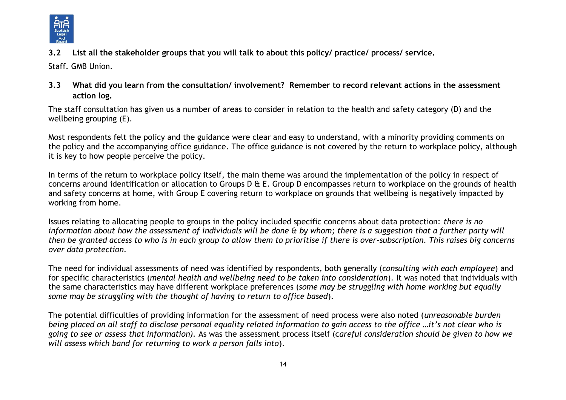

**3.2 List all the stakeholder groups that you will talk to about this policy/ practice/ process/ service.** 

Staff. GMB Union.

**3.3 What did you learn from the consultation/ involvement? Remember to record relevant actions in the assessment action log.**

The staff consultation has given us a number of areas to consider in relation to the health and safety category (D) and the wellbeing grouping (E).

Most respondents felt the policy and the guidance were clear and easy to understand, with a minority providing comments on the policy and the accompanying office guidance. The office guidance is not covered by the return to workplace policy, although it is key to how people perceive the policy.

In terms of the return to workplace policy itself, the main theme was around the implementation of the policy in respect of concerns around identification or allocation to Groups D & E. Group D encompasses return to workplace on the grounds of health and safety concerns at home, with Group E covering return to workplace on grounds that wellbeing is negatively impacted by working from home.

Issues relating to allocating people to groups in the policy included specific concerns about data protection: *there is no information about how the assessment of individuals will be done & by whom; there is a suggestion that a further party will then be granted access to who is in each group to allow them to prioritise if there is over-subscription. This raises big concerns over data protection.*

The need for individual assessments of need was identified by respondents, both generally (*consulting with each employee*) and for specific characteristics (*mental health and wellbeing need to be taken into consideration*). It was noted that individuals with the same characteristics may have different workplace preferences (*some may be struggling with home working but equally some may be struggling with the thought of having to return to office based*).

The potential difficulties of providing information for the assessment of need process were also noted (*unreasonable burden being placed on all staff to disclose personal equality related information to gain access to the office …it's not clear who is going to see or assess that information).* As was the assessment process itself (c*areful consideration should be given to how we will assess which band for returning to work a person falls into*).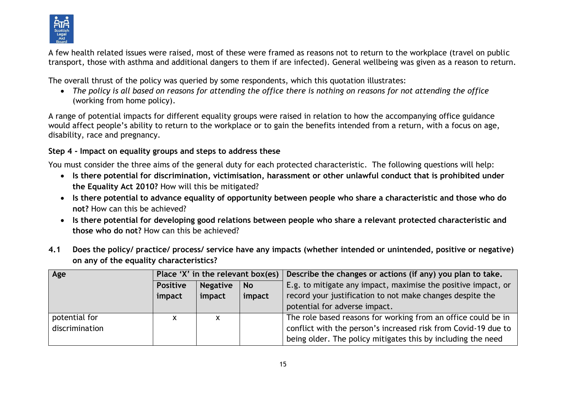

A few health related issues were raised, most of these were framed as reasons not to return to the workplace (travel on public transport, those with asthma and additional dangers to them if are infected). General wellbeing was given as a reason to return.

The overall thrust of the policy was queried by some respondents, which this quotation illustrates:

 *The policy is all based on reasons for attending the office there is nothing on reasons for not attending the office* (working from home policy).

A range of potential impacts for different equality groups were raised in relation to how the accompanying office guidance would affect people's ability to return to the workplace or to gain the benefits intended from a return, with a focus on age, disability, race and pregnancy.

# **Step 4 - Impact on equality groups and steps to address these**

You must consider the three aims of the general duty for each protected characteristic. The following questions will help:

- **Is there potential for discrimination, victimisation, harassment or other unlawful conduct that is prohibited under the Equality Act 2010?** How will this be mitigated?
- **Is there potential to advance equality of opportunity between people who share a characteristic and those who do not?** How can this be achieved?
- **Is there potential for developing good relations between people who share a relevant protected characteristic and those who do not?** How can this be achieved?
- **4.1 Does the policy/ practice/ process/ service have any impacts (whether intended or unintended, positive or negative) on any of the equality characteristics?**

| Age            | Place 'X' in the relevant box(es) $\vert$ |                 |           | Describe the changes or actions (if any) you plan to take.     |
|----------------|-------------------------------------------|-----------------|-----------|----------------------------------------------------------------|
|                | <b>Positive</b>                           | <b>Negative</b> | <b>No</b> | E.g. to mitigate any impact, maximise the positive impact, or  |
|                | impact                                    | impact          | impact    | record your justification to not make changes despite the      |
|                |                                           |                 |           | potential for adverse impact.                                  |
| potential for  | x                                         | x               |           | The role based reasons for working from an office could be in  |
| discrimination |                                           |                 |           | conflict with the person's increased risk from Covid-19 due to |
|                |                                           |                 |           | being older. The policy mitigates this by including the need   |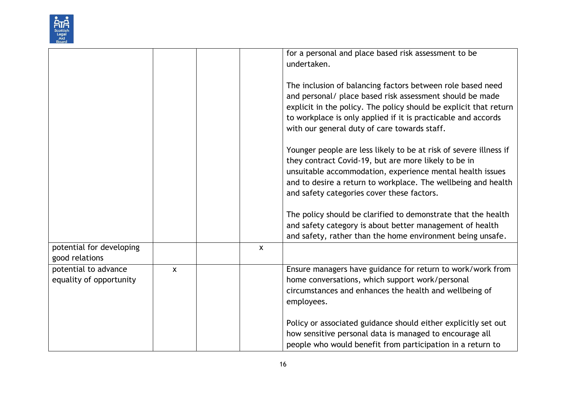

|                                                 |              |              | for a personal and place based risk assessment to be<br>undertaken.                                                                                                                                                                                                                                          |
|-------------------------------------------------|--------------|--------------|--------------------------------------------------------------------------------------------------------------------------------------------------------------------------------------------------------------------------------------------------------------------------------------------------------------|
|                                                 |              |              | The inclusion of balancing factors between role based need<br>and personal/ place based risk assessment should be made<br>explicit in the policy. The policy should be explicit that return<br>to workplace is only applied if it is practicable and accords<br>with our general duty of care towards staff. |
|                                                 |              |              | Younger people are less likely to be at risk of severe illness if<br>they contract Covid-19, but are more likely to be in<br>unsuitable accommodation, experience mental health issues<br>and to desire a return to workplace. The wellbeing and health<br>and safety categories cover these factors.        |
|                                                 |              |              | The policy should be clarified to demonstrate that the health<br>and safety category is about better management of health<br>and safety, rather than the home environment being unsafe.                                                                                                                      |
| potential for developing<br>good relations      |              | $\mathsf{x}$ |                                                                                                                                                                                                                                                                                                              |
| potential to advance<br>equality of opportunity | $\mathsf{x}$ |              | Ensure managers have guidance for return to work/work from<br>home conversations, which support work/personal<br>circumstances and enhances the health and wellbeing of<br>employees.                                                                                                                        |
|                                                 |              |              | Policy or associated guidance should either explicitly set out<br>how sensitive personal data is managed to encourage all<br>people who would benefit from participation in a return to                                                                                                                      |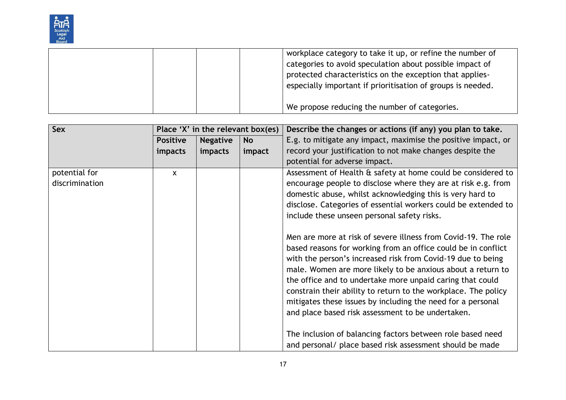

|  | workplace category to take it up, or refine the number of   |
|--|-------------------------------------------------------------|
|  | categories to avoid speculation about possible impact of    |
|  | protected characteristics on the exception that applies-    |
|  | especially important if prioritisation of groups is needed. |
|  |                                                             |
|  | We propose reducing the number of categories.               |

| Sex            | Place 'X' in the relevant box(es) |                 |           | Describe the changes or actions (if any) you plan to take.                                                                                                                                                                                                                                                                                                                                                                                                  |
|----------------|-----------------------------------|-----------------|-----------|-------------------------------------------------------------------------------------------------------------------------------------------------------------------------------------------------------------------------------------------------------------------------------------------------------------------------------------------------------------------------------------------------------------------------------------------------------------|
|                | <b>Positive</b>                   | <b>Negative</b> | <b>No</b> | E.g. to mitigate any impact, maximise the positive impact, or                                                                                                                                                                                                                                                                                                                                                                                               |
|                | <i>impacts</i>                    | impacts         | impact    | record your justification to not make changes despite the                                                                                                                                                                                                                                                                                                                                                                                                   |
|                |                                   |                 |           | potential for adverse impact.                                                                                                                                                                                                                                                                                                                                                                                                                               |
| potential for  | <b>X</b>                          |                 |           | Assessment of Health & safety at home could be considered to                                                                                                                                                                                                                                                                                                                                                                                                |
| discrimination |                                   |                 |           | encourage people to disclose where they are at risk e.g. from                                                                                                                                                                                                                                                                                                                                                                                               |
|                |                                   |                 |           | domestic abuse, whilst acknowledging this is very hard to                                                                                                                                                                                                                                                                                                                                                                                                   |
|                |                                   |                 |           | disclose. Categories of essential workers could be extended to                                                                                                                                                                                                                                                                                                                                                                                              |
|                |                                   |                 |           | include these unseen personal safety risks.                                                                                                                                                                                                                                                                                                                                                                                                                 |
|                |                                   |                 |           | Men are more at risk of severe illness from Covid-19. The role<br>based reasons for working from an office could be in conflict<br>with the person's increased risk from Covid-19 due to being<br>male. Women are more likely to be anxious about a return to<br>the office and to undertake more unpaid caring that could<br>constrain their ability to return to the workplace. The policy<br>mitigates these issues by including the need for a personal |
|                |                                   |                 |           | and place based risk assessment to be undertaken.                                                                                                                                                                                                                                                                                                                                                                                                           |
|                |                                   |                 |           | The inclusion of balancing factors between role based need                                                                                                                                                                                                                                                                                                                                                                                                  |
|                |                                   |                 |           | and personal/ place based risk assessment should be made                                                                                                                                                                                                                                                                                                                                                                                                    |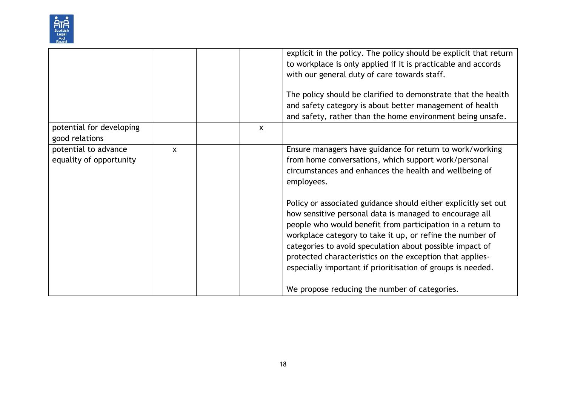

|                                                 |   |                           | explicit in the policy. The policy should be explicit that return<br>to workplace is only applied if it is practicable and accords<br>with our general duty of care towards staff.<br>The policy should be clarified to demonstrate that the health<br>and safety category is about better management of health<br>and safety, rather than the home environment being unsafe.                                                                                                                                                                                                                                                                                                            |
|-------------------------------------------------|---|---------------------------|------------------------------------------------------------------------------------------------------------------------------------------------------------------------------------------------------------------------------------------------------------------------------------------------------------------------------------------------------------------------------------------------------------------------------------------------------------------------------------------------------------------------------------------------------------------------------------------------------------------------------------------------------------------------------------------|
| potential for developing<br>good relations      |   | $\boldsymbol{\mathsf{x}}$ |                                                                                                                                                                                                                                                                                                                                                                                                                                                                                                                                                                                                                                                                                          |
| potential to advance<br>equality of opportunity | X |                           | Ensure managers have guidance for return to work/working<br>from home conversations, which support work/personal<br>circumstances and enhances the health and wellbeing of<br>employees.<br>Policy or associated guidance should either explicitly set out<br>how sensitive personal data is managed to encourage all<br>people who would benefit from participation in a return to<br>workplace category to take it up, or refine the number of<br>categories to avoid speculation about possible impact of<br>protected characteristics on the exception that applies-<br>especially important if prioritisation of groups is needed.<br>We propose reducing the number of categories. |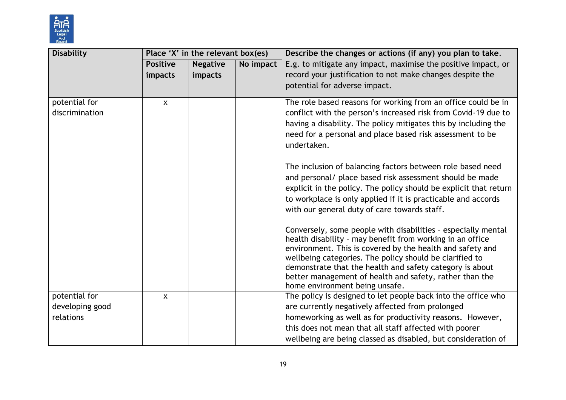

| <b>Disability</b>               |                 | Place 'X' in the relevant box(es) |           | Describe the changes or actions (if any) you plan to take.                                                                                                                                                                                                                                                                                                                                                                                                                                                                                                                                                                                                                                                                                                                                                                                                                                                                                                                  |
|---------------------------------|-----------------|-----------------------------------|-----------|-----------------------------------------------------------------------------------------------------------------------------------------------------------------------------------------------------------------------------------------------------------------------------------------------------------------------------------------------------------------------------------------------------------------------------------------------------------------------------------------------------------------------------------------------------------------------------------------------------------------------------------------------------------------------------------------------------------------------------------------------------------------------------------------------------------------------------------------------------------------------------------------------------------------------------------------------------------------------------|
|                                 | <b>Positive</b> | <b>Negative</b>                   | No impact | E.g. to mitigate any impact, maximise the positive impact, or                                                                                                                                                                                                                                                                                                                                                                                                                                                                                                                                                                                                                                                                                                                                                                                                                                                                                                               |
|                                 | impacts         | impacts                           |           | record your justification to not make changes despite the                                                                                                                                                                                                                                                                                                                                                                                                                                                                                                                                                                                                                                                                                                                                                                                                                                                                                                                   |
|                                 |                 |                                   |           | potential for adverse impact.                                                                                                                                                                                                                                                                                                                                                                                                                                                                                                                                                                                                                                                                                                                                                                                                                                                                                                                                               |
| potential for<br>discrimination | $\mathsf{x}$    |                                   |           | The role based reasons for working from an office could be in<br>conflict with the person's increased risk from Covid-19 due to<br>having a disability. The policy mitigates this by including the<br>need for a personal and place based risk assessment to be<br>undertaken.<br>The inclusion of balancing factors between role based need<br>and personal/ place based risk assessment should be made<br>explicit in the policy. The policy should be explicit that return<br>to workplace is only applied if it is practicable and accords<br>with our general duty of care towards staff.<br>Conversely, some people with disabilities - especially mental<br>health disability - may benefit from working in an office<br>environment. This is covered by the health and safety and<br>wellbeing categories. The policy should be clarified to<br>demonstrate that the health and safety category is about<br>better management of health and safety, rather than the |
| potential for                   | $\mathsf{x}$    |                                   |           | home environment being unsafe.<br>The policy is designed to let people back into the office who                                                                                                                                                                                                                                                                                                                                                                                                                                                                                                                                                                                                                                                                                                                                                                                                                                                                             |
| developing good                 |                 |                                   |           | are currently negatively affected from prolonged                                                                                                                                                                                                                                                                                                                                                                                                                                                                                                                                                                                                                                                                                                                                                                                                                                                                                                                            |
| relations                       |                 |                                   |           | homeworking as well as for productivity reasons. However,                                                                                                                                                                                                                                                                                                                                                                                                                                                                                                                                                                                                                                                                                                                                                                                                                                                                                                                   |
|                                 |                 |                                   |           | this does not mean that all staff affected with poorer                                                                                                                                                                                                                                                                                                                                                                                                                                                                                                                                                                                                                                                                                                                                                                                                                                                                                                                      |
|                                 |                 |                                   |           | wellbeing are being classed as disabled, but consideration of                                                                                                                                                                                                                                                                                                                                                                                                                                                                                                                                                                                                                                                                                                                                                                                                                                                                                                               |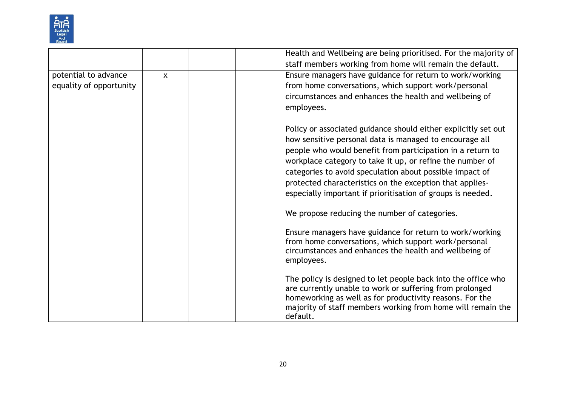

|                                                 |              | Health and Wellbeing are being prioritised. For the majority of<br>staff members working from home will remain the default.                                                                                                                                                                                                                                                                                                                 |
|-------------------------------------------------|--------------|---------------------------------------------------------------------------------------------------------------------------------------------------------------------------------------------------------------------------------------------------------------------------------------------------------------------------------------------------------------------------------------------------------------------------------------------|
| potential to advance<br>equality of opportunity | $\mathsf{x}$ | Ensure managers have guidance for return to work/working<br>from home conversations, which support work/personal<br>circumstances and enhances the health and wellbeing of<br>employees.                                                                                                                                                                                                                                                    |
|                                                 |              | Policy or associated guidance should either explicitly set out<br>how sensitive personal data is managed to encourage all<br>people who would benefit from participation in a return to<br>workplace category to take it up, or refine the number of<br>categories to avoid speculation about possible impact of<br>protected characteristics on the exception that applies-<br>especially important if prioritisation of groups is needed. |
|                                                 |              | We propose reducing the number of categories.                                                                                                                                                                                                                                                                                                                                                                                               |
|                                                 |              | Ensure managers have guidance for return to work/working<br>from home conversations, which support work/personal<br>circumstances and enhances the health and wellbeing of<br>employees.                                                                                                                                                                                                                                                    |
|                                                 |              | The policy is designed to let people back into the office who<br>are currently unable to work or suffering from prolonged<br>homeworking as well as for productivity reasons. For the<br>majority of staff members working from home will remain the<br>default.                                                                                                                                                                            |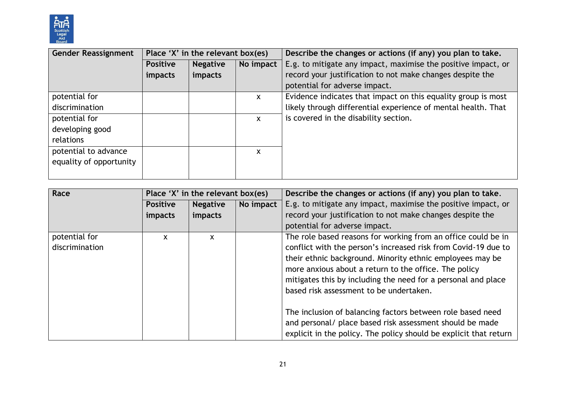

| <b>Gender Reassignment</b> | Place 'X' in the relevant box(es) |                 |              | Describe the changes or actions (if any) you plan to take.    |
|----------------------------|-----------------------------------|-----------------|--------------|---------------------------------------------------------------|
|                            | <b>Positive</b>                   | <b>Negative</b> | No impact    | E.g. to mitigate any impact, maximise the positive impact, or |
|                            | impacts                           | impacts         |              | record your justification to not make changes despite the     |
|                            |                                   |                 |              | potential for adverse impact.                                 |
| potential for              |                                   |                 | $\mathsf{x}$ | Evidence indicates that impact on this equality group is most |
| discrimination             |                                   |                 |              | likely through differential experience of mental health. That |
| potential for              |                                   |                 | $\mathsf{x}$ | is covered in the disability section.                         |
| developing good            |                                   |                 |              |                                                               |
| relations                  |                                   |                 |              |                                                               |
| potential to advance       |                                   |                 | X            |                                                               |
| equality of opportunity    |                                   |                 |              |                                                               |
|                            |                                   |                 |              |                                                               |

| Race                            |                 | Place 'X' in the relevant box(es) |           | Describe the changes or actions (if any) you plan to take.                                                                                                                                                                                                                                                                                                                                                                                                                                                                                                       |
|---------------------------------|-----------------|-----------------------------------|-----------|------------------------------------------------------------------------------------------------------------------------------------------------------------------------------------------------------------------------------------------------------------------------------------------------------------------------------------------------------------------------------------------------------------------------------------------------------------------------------------------------------------------------------------------------------------------|
|                                 | <b>Positive</b> | <b>Negative</b>                   | No impact | E.g. to mitigate any impact, maximise the positive impact, or                                                                                                                                                                                                                                                                                                                                                                                                                                                                                                    |
|                                 | <i>impacts</i>  | impacts                           |           | record your justification to not make changes despite the                                                                                                                                                                                                                                                                                                                                                                                                                                                                                                        |
|                                 |                 |                                   |           | potential for adverse impact.                                                                                                                                                                                                                                                                                                                                                                                                                                                                                                                                    |
| potential for<br>discrimination | X               | X.                                |           | The role based reasons for working from an office could be in<br>conflict with the person's increased risk from Covid-19 due to<br>their ethnic background. Minority ethnic employees may be<br>more anxious about a return to the office. The policy<br>mitigates this by including the need for a personal and place<br>based risk assessment to be undertaken.<br>The inclusion of balancing factors between role based need<br>and personal/ place based risk assessment should be made<br>explicit in the policy. The policy should be explicit that return |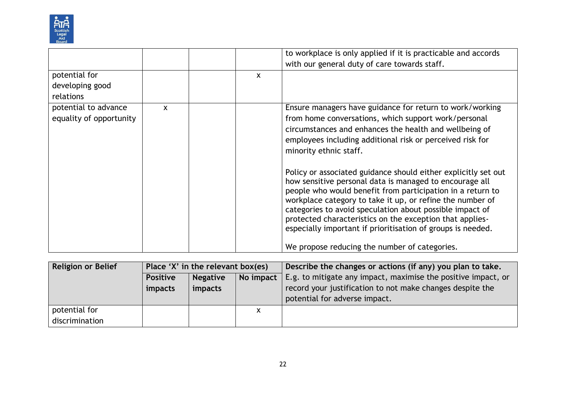

|                                                 |              |              | to workplace is only applied if it is practicable and accords<br>with our general duty of care towards staff.                                                                                                                                                                                                                                                                                                                                                                                                                                                                                                                                                                                                                                                     |
|-------------------------------------------------|--------------|--------------|-------------------------------------------------------------------------------------------------------------------------------------------------------------------------------------------------------------------------------------------------------------------------------------------------------------------------------------------------------------------------------------------------------------------------------------------------------------------------------------------------------------------------------------------------------------------------------------------------------------------------------------------------------------------------------------------------------------------------------------------------------------------|
| potential for<br>developing good<br>relations   |              | $\mathsf{x}$ |                                                                                                                                                                                                                                                                                                                                                                                                                                                                                                                                                                                                                                                                                                                                                                   |
| potential to advance<br>equality of opportunity | $\mathsf{x}$ |              | Ensure managers have guidance for return to work/working<br>from home conversations, which support work/personal<br>circumstances and enhances the health and wellbeing of<br>employees including additional risk or perceived risk for<br>minority ethnic staff.<br>Policy or associated guidance should either explicitly set out<br>how sensitive personal data is managed to encourage all<br>people who would benefit from participation in a return to<br>workplace category to take it up, or refine the number of<br>categories to avoid speculation about possible impact of<br>protected characteristics on the exception that applies-<br>especially important if prioritisation of groups is needed.<br>We propose reducing the number of categories. |

| Religion or Belief | Place 'X' in the relevant box(es)               |         |   | Describe the changes or actions (if any) you plan to take.    |
|--------------------|-------------------------------------------------|---------|---|---------------------------------------------------------------|
|                    | No impact<br><b>Positive</b><br><b>Negative</b> |         |   | E.g. to mitigate any impact, maximise the positive impact, or |
|                    | impacts                                         | impacts |   | record your justification to not make changes despite the     |
|                    |                                                 |         |   | potential for adverse impact.                                 |
| potential for      |                                                 |         | X |                                                               |
| discrimination     |                                                 |         |   |                                                               |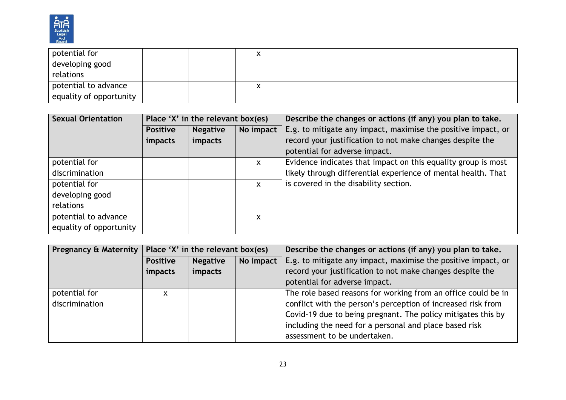

| potential for           |  | ́ |  |
|-------------------------|--|---|--|
| developing good         |  |   |  |
| relations               |  |   |  |
| potential to advance    |  | ́ |  |
| equality of opportunity |  |   |  |

| <b>Sexual Orientation</b> | Place 'X' in the relevant box(es) |                 |              | Describe the changes or actions (if any) you plan to take.    |
|---------------------------|-----------------------------------|-----------------|--------------|---------------------------------------------------------------|
|                           | <b>Positive</b>                   | <b>Negative</b> | No impact    | E.g. to mitigate any impact, maximise the positive impact, or |
|                           | impacts                           | impacts         |              | record your justification to not make changes despite the     |
|                           |                                   |                 |              | potential for adverse impact.                                 |
| potential for             |                                   |                 | $\mathsf{x}$ | Evidence indicates that impact on this equality group is most |
| discrimination            |                                   |                 |              | likely through differential experience of mental health. That |
| potential for             |                                   |                 | $\mathsf{x}$ | is covered in the disability section.                         |
| developing good           |                                   |                 |              |                                                               |
| relations                 |                                   |                 |              |                                                               |
| potential to advance      |                                   |                 | x            |                                                               |
| equality of opportunity   |                                   |                 |              |                                                               |

|                | Pregnancy & Maternity   Place 'X' in the relevant box(es) |                 |           | Describe the changes or actions (if any) you plan to take.    |
|----------------|-----------------------------------------------------------|-----------------|-----------|---------------------------------------------------------------|
|                | <b>Positive</b>                                           | <b>Negative</b> | No impact | E.g. to mitigate any impact, maximise the positive impact, or |
|                | impacts                                                   | impacts         |           | record your justification to not make changes despite the     |
|                |                                                           |                 |           | potential for adverse impact.                                 |
| potential for  | X                                                         |                 |           | The role based reasons for working from an office could be in |
| discrimination |                                                           |                 |           | conflict with the person's perception of increased risk from  |
|                |                                                           |                 |           | Covid-19 due to being pregnant. The policy mitigates this by  |
|                |                                                           |                 |           | including the need for a personal and place based risk        |
|                |                                                           |                 |           | assessment to be undertaken.                                  |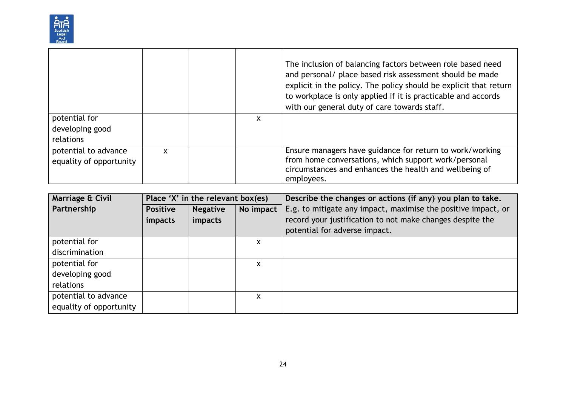

|                                                 |                           |   | The inclusion of balancing factors between role based need<br>and personal/ place based risk assessment should be made<br>explicit in the policy. The policy should be explicit that return<br>to workplace is only applied if it is practicable and accords<br>with our general duty of care towards staff. |
|-------------------------------------------------|---------------------------|---|--------------------------------------------------------------------------------------------------------------------------------------------------------------------------------------------------------------------------------------------------------------------------------------------------------------|
| potential for<br>developing good                |                           | X |                                                                                                                                                                                                                                                                                                              |
| relations                                       |                           |   |                                                                                                                                                                                                                                                                                                              |
| potential to advance<br>equality of opportunity | $\boldsymbol{\mathsf{x}}$ |   | Ensure managers have guidance for return to work/working<br>from home conversations, which support work/personal<br>circumstances and enhances the health and wellbeing of<br>employees.                                                                                                                     |

| Marriage & Civil        | Place 'X' in the relevant box(es) |                 |           | Describe the changes or actions (if any) you plan to take.    |  |
|-------------------------|-----------------------------------|-----------------|-----------|---------------------------------------------------------------|--|
| Partnership             | <b>Positive</b>                   | <b>Negative</b> | No impact | E.g. to mitigate any impact, maximise the positive impact, or |  |
|                         | <i>impacts</i>                    | impacts         |           | record your justification to not make changes despite the     |  |
|                         |                                   |                 |           | potential for adverse impact.                                 |  |
| potential for           |                                   |                 | x         |                                                               |  |
| discrimination          |                                   |                 |           |                                                               |  |
| potential for           |                                   |                 | X         |                                                               |  |
| developing good         |                                   |                 |           |                                                               |  |
| relations               |                                   |                 |           |                                                               |  |
| potential to advance    |                                   |                 | X         |                                                               |  |
| equality of opportunity |                                   |                 |           |                                                               |  |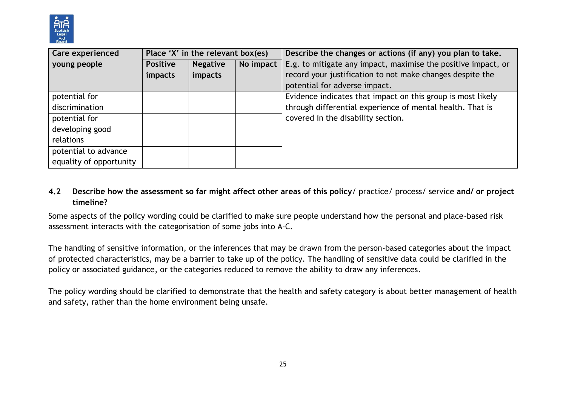

| Care experienced        | Place 'X' in the relevant box(es) |                 |           | Describe the changes or actions (if any) you plan to take.    |  |
|-------------------------|-----------------------------------|-----------------|-----------|---------------------------------------------------------------|--|
| young people            | <b>Positive</b>                   | <b>Negative</b> | No impact | E.g. to mitigate any impact, maximise the positive impact, or |  |
|                         | impacts                           | impacts         |           | record your justification to not make changes despite the     |  |
|                         |                                   |                 |           | potential for adverse impact.                                 |  |
| potential for           |                                   |                 |           | Evidence indicates that impact on this group is most likely   |  |
| discrimination          |                                   |                 |           | through differential experience of mental health. That is     |  |
| potential for           |                                   |                 |           | covered in the disability section.                            |  |
| developing good         |                                   |                 |           |                                                               |  |
| relations               |                                   |                 |           |                                                               |  |
| potential to advance    |                                   |                 |           |                                                               |  |
| equality of opportunity |                                   |                 |           |                                                               |  |

# **4.2 Describe how the assessment so far might affect other areas of this policy**/ practice/ process/ service **and/ or project timeline?**

Some aspects of the policy wording could be clarified to make sure people understand how the personal and place-based risk assessment interacts with the categorisation of some jobs into A-C.

The handling of sensitive information, or the inferences that may be drawn from the person-based categories about the impact of protected characteristics, may be a barrier to take up of the policy. The handling of sensitive data could be clarified in the policy or associated guidance, or the categories reduced to remove the ability to draw any inferences.

The policy wording should be clarified to demonstrate that the health and safety category is about better management of health and safety, rather than the home environment being unsafe.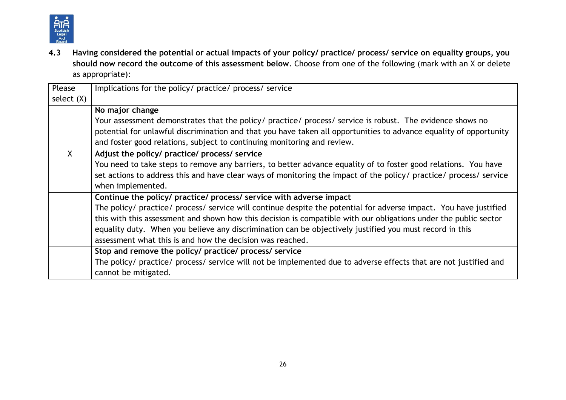

**4.3 Having considered the potential or actual impacts of your policy/ practice/ process/ service on equality groups, you should now record the outcome of this assessment below**. Choose from one of the following (mark with an X or delete as appropriate):

| Please       | Implications for the policy/ practice/ process/ service                                                            |  |  |  |  |  |
|--------------|--------------------------------------------------------------------------------------------------------------------|--|--|--|--|--|
| select $(X)$ |                                                                                                                    |  |  |  |  |  |
|              | No major change                                                                                                    |  |  |  |  |  |
|              | Your assessment demonstrates that the policy/ practice/ process/ service is robust. The evidence shows no          |  |  |  |  |  |
|              | potential for unlawful discrimination and that you have taken all opportunities to advance equality of opportunity |  |  |  |  |  |
|              | and foster good relations, subject to continuing monitoring and review.                                            |  |  |  |  |  |
| $\mathsf{X}$ | Adjust the policy/ practice/ process/ service                                                                      |  |  |  |  |  |
|              | You need to take steps to remove any barriers, to better advance equality of to foster good relations. You have    |  |  |  |  |  |
|              | set actions to address this and have clear ways of monitoring the impact of the policy/ practice/ process/ service |  |  |  |  |  |
|              | when implemented.                                                                                                  |  |  |  |  |  |
|              | Continue the policy/ practice/ process/ service with adverse impact                                                |  |  |  |  |  |
|              | The policy/ practice/ process/ service will continue despite the potential for adverse impact. You have justified  |  |  |  |  |  |
|              | this with this assessment and shown how this decision is compatible with our obligations under the public sector   |  |  |  |  |  |
|              | equality duty. When you believe any discrimination can be objectively justified you must record in this            |  |  |  |  |  |
|              | assessment what this is and how the decision was reached.                                                          |  |  |  |  |  |
|              | Stop and remove the policy/ practice/ process/ service                                                             |  |  |  |  |  |
|              | The policy/ practice/ process/ service will not be implemented due to adverse effects that are not justified and   |  |  |  |  |  |
|              | cannot be mitigated.                                                                                               |  |  |  |  |  |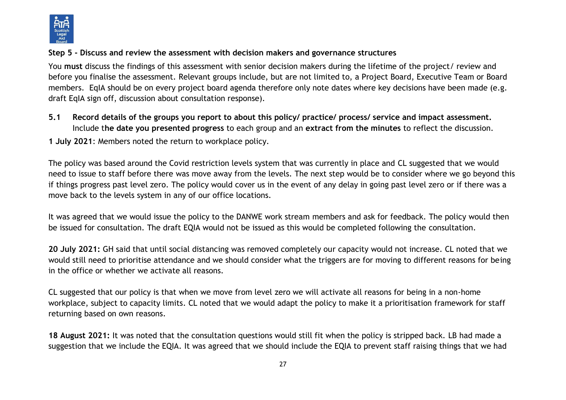

#### **Step 5 - Discuss and review the assessment with decision makers and governance structures**

You **must** discuss the findings of this assessment with senior decision makers during the lifetime of the project/ review and before you finalise the assessment. Relevant groups include, but are not limited to, a Project Board, Executive Team or Board members. EqIA should be on every project board agenda therefore only note dates where key decisions have been made (e.g. draft EqIA sign off, discussion about consultation response).

**5.1 Record details of the groups you report to about this policy/ practice/ process/ service and impact assessment.**  Include t**he date you presented progress** to each group and an **extract from the minutes** to reflect the discussion.

**1 July 2021**: Members noted the return to workplace policy.

The policy was based around the Covid restriction levels system that was currently in place and CL suggested that we would need to issue to staff before there was move away from the levels. The next step would be to consider where we go beyond this if things progress past level zero. The policy would cover us in the event of any delay in going past level zero or if there was a move back to the levels system in any of our office locations.

It was agreed that we would issue the policy to the DANWE work stream members and ask for feedback. The policy would then be issued for consultation. The draft EQIA would not be issued as this would be completed following the consultation.

**20 July 2021:** GH said that until social distancing was removed completely our capacity would not increase. CL noted that we would still need to prioritise attendance and we should consider what the triggers are for moving to different reasons for being in the office or whether we activate all reasons.

CL suggested that our policy is that when we move from level zero we will activate all reasons for being in a non-home workplace, subject to capacity limits. CL noted that we would adapt the policy to make it a prioritisation framework for staff returning based on own reasons.

**18 August 2021:** It was noted that the consultation questions would still fit when the policy is stripped back. LB had made a suggestion that we include the EQIA. It was agreed that we should include the EQIA to prevent staff raising things that we had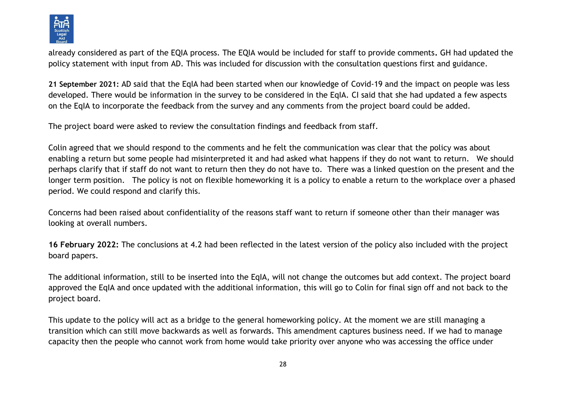

already considered as part of the EQIA process. The EQIA would be included for staff to provide comments**.** GH had updated the policy statement with input from AD. This was included for discussion with the consultation questions first and guidance.

**21 September 2021:** AD said that the EqIA had been started when our knowledge of Covid-19 and the impact on people was less developed. There would be information in the survey to be considered in the EqIA. CI said that she had updated a few aspects on the EqIA to incorporate the feedback from the survey and any comments from the project board could be added.

The project board were asked to review the consultation findings and feedback from staff.

Colin agreed that we should respond to the comments and he felt the communication was clear that the policy was about enabling a return but some people had misinterpreted it and had asked what happens if they do not want to return. We should perhaps clarify that if staff do not want to return then they do not have to. There was a linked question on the present and the longer term position. The policy is not on flexible homeworking it is a policy to enable a return to the workplace over a phased period. We could respond and clarify this.

Concerns had been raised about confidentiality of the reasons staff want to return if someone other than their manager was looking at overall numbers.

**16 February 2022:** The conclusions at 4.2 had been reflected in the latest version of the policy also included with the project board papers.

The additional information, still to be inserted into the EqIA, will not change the outcomes but add context. The project board approved the EqIA and once updated with the additional information, this will go to Colin for final sign off and not back to the project board.

This update to the policy will act as a bridge to the general homeworking policy. At the moment we are still managing a transition which can still move backwards as well as forwards. This amendment captures business need. If we had to manage capacity then the people who cannot work from home would take priority over anyone who was accessing the office under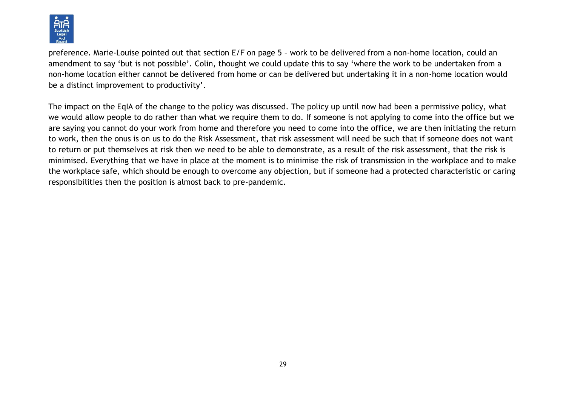

preference. Marie-Louise pointed out that section E/F on page 5 – work to be delivered from a non-home location, could an amendment to say 'but is not possible'. Colin, thought we could update this to say 'where the work to be undertaken from a non-home location either cannot be delivered from home or can be delivered but undertaking it in a non-home location would be a distinct improvement to productivity'.

The impact on the EqIA of the change to the policy was discussed. The policy up until now had been a permissive policy, what we would allow people to do rather than what we require them to do. If someone is not applying to come into the office but we are saying you cannot do your work from home and therefore you need to come into the office, we are then initiating the return to work, then the onus is on us to do the Risk Assessment, that risk assessment will need be such that if someone does not want to return or put themselves at risk then we need to be able to demonstrate, as a result of the risk assessment, that the risk is minimised. Everything that we have in place at the moment is to minimise the risk of transmission in the workplace and to make the workplace safe, which should be enough to overcome any objection, but if someone had a protected characteristic or caring responsibilities then the position is almost back to pre-pandemic.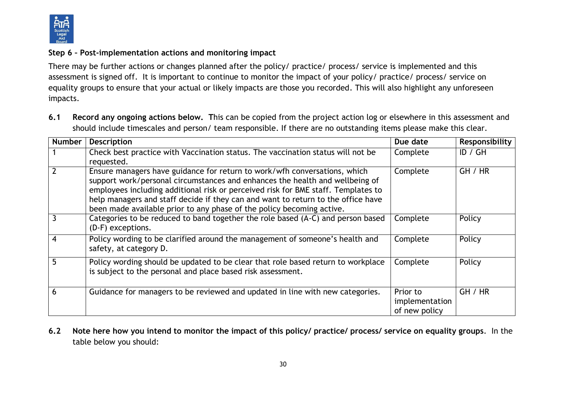

## **Step 6 – Post-implementation actions and monitoring impact**

There may be further actions or changes planned after the policy/ practice/ process/ service is implemented and this assessment is signed off. It is important to continue to monitor the impact of your policy/ practice/ process/ service on equality groups to ensure that your actual or likely impacts are those you recorded. This will also highlight any unforeseen impacts.

**6.1 Record any ongoing actions below. T**his can be copied from the project action log or elsewhere in this assessment and should include timescales and person/ team responsible. If there are no outstanding items please make this clear.

| <b>Number</b> | <b>Description</b>                                                                                                                                                                                                                                                                                                                                                                                          | Due date                                    | Responsibility |
|---------------|-------------------------------------------------------------------------------------------------------------------------------------------------------------------------------------------------------------------------------------------------------------------------------------------------------------------------------------------------------------------------------------------------------------|---------------------------------------------|----------------|
|               | Check best practice with Vaccination status. The vaccination status will not be<br>requested.                                                                                                                                                                                                                                                                                                               | Complete                                    | ID / GH        |
|               | Ensure managers have guidance for return to work/wfh conversations, which<br>support work/personal circumstances and enhances the health and wellbeing of<br>employees including additional risk or perceived risk for BME staff. Templates to<br>help managers and staff decide if they can and want to return to the office have<br>been made available prior to any phase of the policy becoming active. | Complete                                    | GH / HR        |
| 3             | Categories to be reduced to band together the role based (A-C) and person based<br>(D-F) exceptions.                                                                                                                                                                                                                                                                                                        | Complete                                    | Policy         |
|               | Policy wording to be clarified around the management of someone's health and<br>safety, at category D.                                                                                                                                                                                                                                                                                                      | Complete                                    | Policy         |
| 5             | Policy wording should be updated to be clear that role based return to workplace<br>is subject to the personal and place based risk assessment.                                                                                                                                                                                                                                                             | Complete                                    | Policy         |
| 6             | Guidance for managers to be reviewed and updated in line with new categories.                                                                                                                                                                                                                                                                                                                               | Prior to<br>implementation<br>of new policy | GH / HR        |

**6.2 Note here how you intend to monitor the impact of this policy/ practice/ process/ service on equality groups**. In the table below you should: